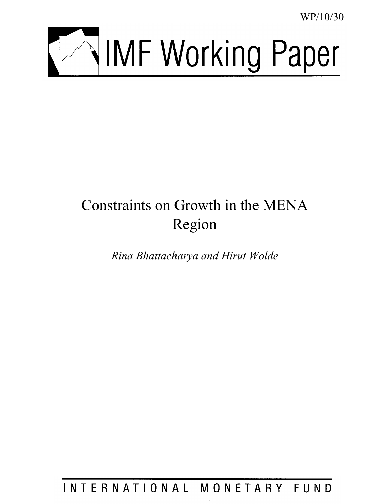WP/10/30



# Constraints on Growth in the MENA Region

*Rina Bhattacharya and Hirut Wolde*

INTERNATIONAL MONETARY FUND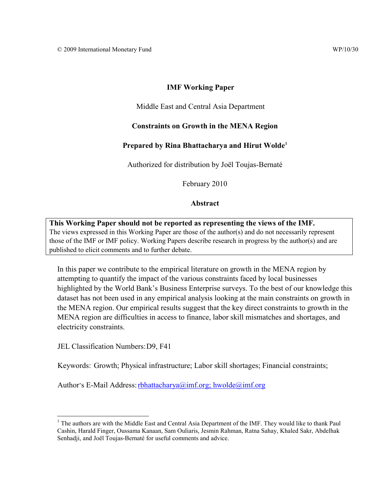# **IMF Working Paper**

#### Middle East and Central Asia Department

# **Constraints on Growth in the MENA Region**

# **Prepared by Rina Bhattacharya and Hirut Wolde[1](#page-1-0)**

Authorized for distribution by Joël Toujas-Bernaté

February 2010

#### **Abstract**

**This Working Paper should not be reported as representing the views of the IMF.** The views expressed in this Working Paper are those of the author(s) and do not necessarily represent those of the IMF or IMF policy. Working Papers describe research in progress by the author(s) and are published to elicit comments and to further debate.

In this paper we contribute to the empirical literature on growth in the MENA region by attempting to quantify the impact of the various constraints faced by local businesses highlighted by the World Bank's Business Enterprise surveys. To the best of our knowledge this dataset has not been used in any empirical analysis looking at the main constraints on growth in the MENA region. Our empirical results suggest that the key direct constraints to growth in the MENA region are difficulties in access to finance, labor skill mismatches and shortages, and electricity constraints.

JEL Classification Numbers:D9, F41

 $\overline{a}$ 

Keywords: Growth; Physical infrastructure; Labor skill shortages; Financial constraints;

Author's E-Mail Address: rbhattacharya@imf.org; hwolde@imf.org

<span id="page-1-0"></span><sup>&</sup>lt;sup>1</sup> The authors are with the Middle East and Central Asia Department of the IMF. They would like to thank Paul Cashin, Harald Finger, Oussama Kanaan, Sam Ouliaris, Jesmin Rahman, Ratna Sahay, Khaled Sakr, Abdelhak Senhadji, and Joël Toujas-Bernaté for useful comments and advice.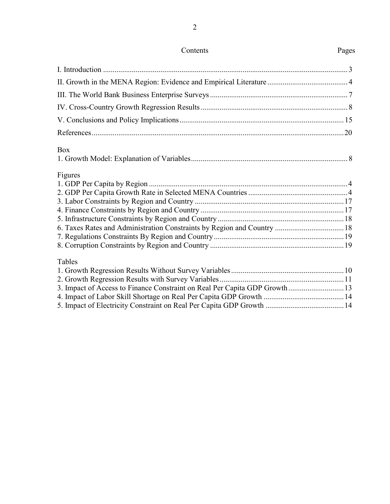2

| <b>Box</b>                                                                  |  |
|-----------------------------------------------------------------------------|--|
|                                                                             |  |
| Figures                                                                     |  |
|                                                                             |  |
|                                                                             |  |
|                                                                             |  |
|                                                                             |  |
|                                                                             |  |
|                                                                             |  |
|                                                                             |  |
|                                                                             |  |
| Tables                                                                      |  |
|                                                                             |  |
|                                                                             |  |
| 3. Impact of Access to Finance Constraint on Real Per Capita GDP Growth  13 |  |
|                                                                             |  |
|                                                                             |  |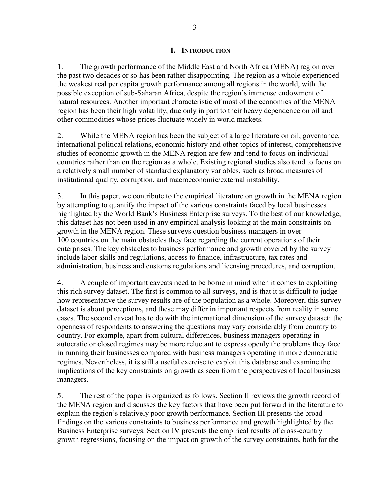# **I. INTRODUCTION**

<span id="page-3-0"></span>1. The growth performance of the Middle East and North Africa (MENA) region over the past two decades or so has been rather disappointing. The region as a whole experienced the weakest real per capita growth performance among all regions in the world, with the possible exception of sub-Saharan Africa, despite the region's immense endowment of natural resources. Another important characteristic of most of the economies of the MENA region has been their high volatility, due only in part to their heavy dependence on oil and other commodities whose prices fluctuate widely in world markets.

2. While the MENA region has been the subject of a large literature on oil, governance, international political relations, economic history and other topics of interest, comprehensive studies of economic growth in the MENA region are few and tend to focus on individual countries rather than on the region as a whole. Existing regional studies also tend to focus on a relatively small number of standard explanatory variables, such as broad measures of institutional quality, corruption, and macroeconomic/external instability.

3. In this paper, we contribute to the empirical literature on growth in the MENA region by attempting to quantify the impact of the various constraints faced by local businesses highlighted by the World Bank's Business Enterprise surveys. To the best of our knowledge, this dataset has not been used in any empirical analysis looking at the main constraints on growth in the MENA region. These surveys question business managers in over 100 countries on the main obstacles they face regarding the current operations of their enterprises. The key obstacles to business performance and growth covered by the survey include labor skills and regulations, access to finance, infrastructure, tax rates and administration, business and customs regulations and licensing procedures, and corruption.

4. A couple of important caveats need to be borne in mind when it comes to exploiting this rich survey dataset. The first is common to all surveys, and is that it is difficult to judge how representative the survey results are of the population as a whole. Moreover, this survey dataset is about perceptions, and these may differ in important respects from reality in some cases. The second caveat has to do with the international dimension of the survey dataset: the openness of respondents to answering the questions may vary considerably from country to country. For example, apart from cultural differences, business managers operating in autocratic or closed regimes may be more reluctant to express openly the problems they face in running their businesses compared with business managers operating in more democratic regimes. Nevertheless, it is still a useful exercise to exploit this database and examine the implications of the key constraints on growth as seen from the perspectives of local business managers.

5. The rest of the paper is organized as follows. Section II reviews the growth record of the MENA region and discusses the key factors that have been put forward in the literature to explain the region's relatively poor growth performance. Section III presents the broad findings on the various constraints to business performance and growth highlighted by the Business Enterprise surveys. Section IV presents the empirical results of cross-country growth regressions, focusing on the impact on growth of the survey constraints, both for the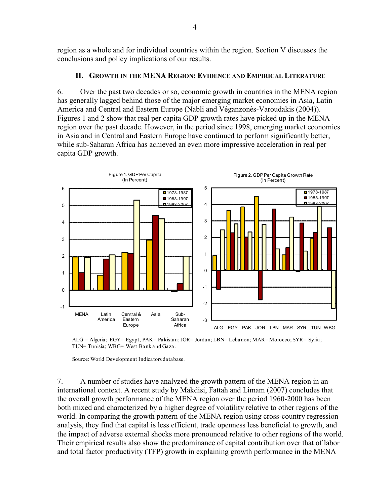region as a whole and for individual countries within the region. Section V discusses the conclusions and policy implications of our results.

# **II. GROWTH IN THE MENA REGION: EVIDENCE AND EMPIRICAL LITERATURE**

<span id="page-4-0"></span>6. Over the past two decades or so, economic growth in countries in the MENA region has generally lagged behind those of the major emerging market economies in Asia, Latin America and Central and Eastern Europe (Nabli and Véganzonès-Varoudakis (2004)). Figures 1 and 2 show that real per capita GDP growth rates have picked up in the MENA region over the past decade. However, in the period since 1998, emerging market economies in Asia and in Central and Eastern Europe have continued to perform significantly better, while sub-Saharan Africa has achieved an even more impressive acceleration in real per capita GDP growth.



ALG = Algeria; EGY= Egypt; PAK= Pakistan; JOR= Jordan; LBN= Lebanon; MAR= Morocco; SYR= Syria; TUN= Tunisia; WBG= West Bank and Gaza.

Source: World Development Indicators database.

7. A number of studies have analyzed the growth pattern of the MENA region in an international context. A recent study by Makdisi, Fattah and Limam (2007) concludes that the overall growth performance of the MENA region over the period 1960-2000 has been both mixed and characterized by a higher degree of volatility relative to other regions of the world. In comparing the growth pattern of the MENA region using cross-country regression analysis, they find that capital is less efficient, trade openness less beneficial to growth, and the impact of adverse external shocks more pronounced relative to other regions of the world. Their empirical results also show the predominance of capital contribution over that of labor and total factor productivity (TFP) growth in explaining growth performance in the MENA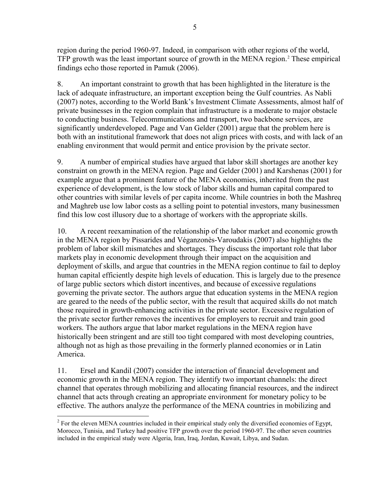region during the period 1960-97. Indeed, in comparison with other regions of the world, TFP growth was the least important source of growth in the MENA region.<sup>[2](#page-5-0)</sup> These empirical findings echo those reported in Pamuk (2006).

8. An important constraint to growth that has been highlighted in the literature is the lack of adequate infrastructure, an important exception being the Gulf countries. As Nabli (2007) notes, according to the World Bank's Investment Climate Assessments, almost half of private businesses in the region complain that infrastructure is a moderate to major obstacle to conducting business. Telecommunications and transport, two backbone services, are significantly underdeveloped. Page and Van Gelder (2001) argue that the problem here is both with an institutional framework that does not align prices with costs, and with lack of an enabling environment that would permit and entice provision by the private sector.

9. A number of empirical studies have argued that labor skill shortages are another key constraint on growth in the MENA region. Page and Gelder (2001) and Karshenas (2001) for example argue that a prominent feature of the MENA economies, inherited from the past experience of development, is the low stock of labor skills and human capital compared to other countries with similar levels of per capita income. While countries in both the Mashreq and Maghreb use low labor costs as a selling point to potential investors, many businessmen find this low cost illusory due to a shortage of workers with the appropriate skills.

10. A recent reexamination of the relationship of the labor market and economic growth in the MENA region by Pissarides and Véganzonès-Varoudakis (2007) also highlights the problem of labor skill mismatches and shortages. They discuss the important role that labor markets play in economic development through their impact on the acquisition and deployment of skills, and argue that countries in the MENA region continue to fail to deploy human capital efficiently despite high levels of education. This is largely due to the presence of large public sectors which distort incentives, and because of excessive regulations governing the private sector. The authors argue that education systems in the MENA region are geared to the needs of the public sector, with the result that acquired skills do not match those required in growth-enhancing activities in the private sector. Excessive regulation of the private sector further removes the incentives for employers to recruit and train good workers. The authors argue that labor market regulations in the MENA region have historically been stringent and are still too tight compared with most developing countries, although not as high as those prevailing in the formerly planned economies or in Latin America.

11. Ersel and Kandil (2007) consider the interaction of financial development and economic growth in the MENA region. They identify two important channels: the direct channel that operates through mobilizing and allocating financial resources, and the indirect channel that acts through creating an appropriate environment for monetary policy to be effective. The authors analyze the performance of the MENA countries in mobilizing and

<span id="page-5-0"></span> $\overline{a}$  $2^2$  For the eleven MENA countries included in their empirical study only the diversified economies of Egypt, Morocco, Tunisia, and Turkey had positive TFP growth over the period 1960-97. The other seven countries included in the empirical study were Algeria, Iran, Iraq, Jordan, Kuwait, Libya, and Sudan.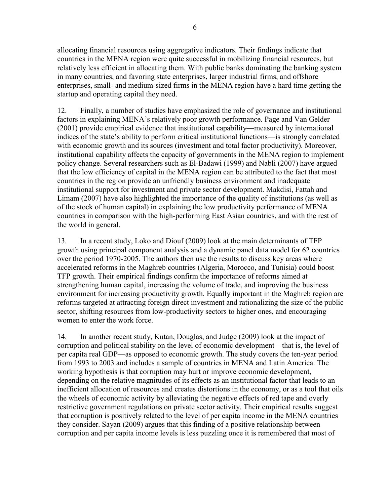allocating financial resources using aggregative indicators. Their findings indicate that countries in the MENA region were quite successful in mobilizing financial resources, but relatively less efficient in allocating them. With public banks dominating the banking system in many countries, and favoring state enterprises, larger industrial firms, and offshore enterprises, small- and medium-sized firms in the MENA region have a hard time getting the startup and operating capital they need.

12. Finally, a number of studies have emphasized the role of governance and institutional factors in explaining MENA's relatively poor growth performance. Page and Van Gelder (2001) provide empirical evidence that institutional capability—measured by international indices of the state's ability to perform critical institutional functions—is strongly correlated with economic growth and its sources (investment and total factor productivity). Moreover, institutional capability affects the capacity of governments in the MENA region to implement policy change. Several researchers such as El-Badawi (1999) and Nabli (2007) have argued that the low efficiency of capital in the MENA region can be attributed to the fact that most countries in the region provide an unfriendly business environment and inadequate institutional support for investment and private sector development. Makdisi, Fattah and Limam (2007) have also highlighted the importance of the quality of institutions (as well as of the stock of human capital) in explaining the low productivity performance of MENA countries in comparison with the high-performing East Asian countries, and with the rest of the world in general.

13. In a recent study, Loko and Diouf (2009) look at the main determinants of TFP growth using principal component analysis and a dynamic panel data model for 62 countries over the period 1970-2005. The authors then use the results to discuss key areas where accelerated reforms in the Maghreb countries (Algeria, Morocco, and Tunisia) could boost TFP growth. Their empirical findings confirm the importance of reforms aimed at strengthening human capital, increasing the volume of trade, and improving the business environment for increasing productivity growth. Equally important in the Maghreb region are reforms targeted at attracting foreign direct investment and rationalizing the size of the public sector, shifting resources from low-productivity sectors to higher ones, and encouraging women to enter the work force.

14. In another recent study, Kutan, Douglas, and Judge (2009) look at the impact of corruption and political stability on the level of economic development—that is, the level of per capita real GDP—as opposed to economic growth. The study covers the ten-year period from 1993 to 2003 and includes a sample of countries in MENA and Latin America. The working hypothesis is that corruption may hurt or improve economic development, depending on the relative magnitudes of its effects as an institutional factor that leads to an inefficient allocation of resources and creates distortions in the economy, or as a tool that oils the wheels of economic activity by alleviating the negative effects of red tape and overly restrictive government regulations on private sector activity. Their empirical results suggest that corruption is positively related to the level of per capita income in the MENA countries they consider. Sayan (2009) argues that this finding of a positive relationship between corruption and per capita income levels is less puzzling once it is remembered that most of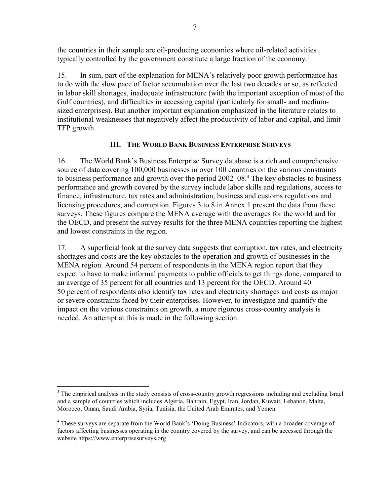the countries in their sample are oil-producing economies where oil-related activities typically controlled by the government constitute a large fraction of the economy.<sup>[3](#page-7-1)</sup>

15. In sum, part of the explanation for MENA's relatively poor growth performance has to do with the slow pace of factor accumulation over the last two decades or so, as reflected in labor skill shortages, inadequate infrastructure (with the important exception of most of the Gulf countries), and difficulties in accessing capital (particularly for small- and mediumsized enterprises). But another important explanation emphasized in the literature relates to institutional weaknesses that negatively affect the productivity of labor and capital, and limit TFP growth.

# **III. THE WORLD BANK BUSINESS ENTERPRISE SURVEYS**

<span id="page-7-0"></span>16. The World Bank's Business Enterprise Survey database is a rich and comprehensive source of data covering 100,000 businesses in over 100 countries on the various constraints to business performance and growth over the period 2002–08.<sup>[4](#page-7-2)</sup> The key obstacles to business performance and growth covered by the survey include labor skills and regulations, access to finance, infrastructure, tax rates and administration, business and customs regulations and licensing procedures, and corruption. Figures 3 to 8 in Annex 1 present the data from these surveys. These figures compare the MENA average with the averages for the world and for the OECD, and present the survey results for the three MENA countries reporting the highest and lowest constraints in the region.

17. A superficial look at the survey data suggests that corruption, tax rates, and electricity shortages and costs are the key obstacles to the operation and growth of businesses in the MENA region. Around 54 percent of respondents in the MENA region report that they expect to have to make informal payments to public officials to get things done, compared to an average of 35 percent for all countries and 13 percent for the OECD. Around 40– 50 percent of respondents also identify tax rates and electricity shortages and costs as major or severe constraints faced by their enterprises. However, to investigate and quantify the impact on the various constraints on growth, a more rigorous cross-country analysis is needed. An attempt at this is made in the following section.

 $\overline{a}$ 

<span id="page-7-1"></span><sup>&</sup>lt;sup>3</sup> The empirical analysis in the study consists of cross-country growth regressions including and excluding Israel and a sample of countries which includes Algeria, Bahrain, Egypt, Iran, Jordan, Kuwait, Lebanon, Malta, Morocco, Oman, Saudi Arabia, Syria, Tunisia, the United Arab Emirates, and Yemen.

<span id="page-7-2"></span><sup>4</sup> These surveys are separate from the World Bank's 'Doing Business' Indicators, with a broader coverage of factors affecting businesses operating in the country covered by the survey, and can be accessed through the website https://www.enterprisesurveys.org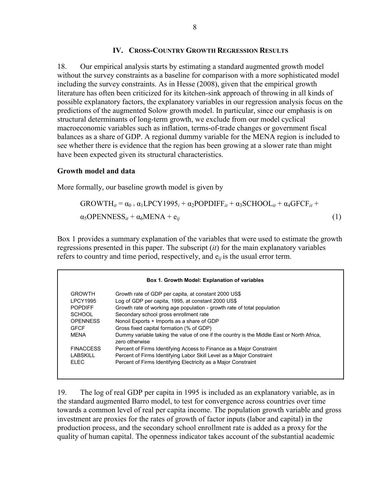#### **IV. CROSS-COUNTRY GROWTH REGRESSION RESULTS**

<span id="page-8-0"></span>18. Our empirical analysis starts by estimating a standard augmented growth model without the survey constraints as a baseline for comparison with a more sophisticated model including the survey constraints. As in Hesse (2008), given that the empirical growth literature has often been criticized for its kitchen-sink approach of throwing in all kinds of possible explanatory factors, the explanatory variables in our regression analysis focus on the predictions of the augmented Solow growth model. In particular, since our emphasis is on structural determinants of long-term growth, we exclude from our model cyclical macroeconomic variables such as inflation, terms-of-trade changes or government fiscal balances as a share of GDP. A regional dummy variable for the MENA region is included to see whether there is evidence that the region has been growing at a slower rate than might have been expected given its structural characteristics.

#### **Growth model and data**

More formally, our baseline growth model is given by

$$
GROWTH_{it} = \alpha_0 + \alpha_1 LPCY1995_i + \alpha_2 POPDIFF_{it} + \alpha_3 SCHOOL_{it} + \alpha_4 GFCF_{it} + \alpha_5 OPENDESS_{it} + \alpha_6 MENA + e_{ij}
$$
\n(1)

Box 1 provides a summary explanation of the variables that were used to estimate the growth regressions presented in this paper. The subscript (*it*) for the main explanatory variables refers to country and time period, respectively, and e*ij* is the usual error term.

| Box 1. Growth Model: Explanation of variables |                                                                                                             |  |  |  |  |
|-----------------------------------------------|-------------------------------------------------------------------------------------------------------------|--|--|--|--|
| <b>GROWTH</b>                                 | Growth rate of GDP per capita, at constant 2000 US\$                                                        |  |  |  |  |
| <b>LPCY1995</b>                               | Log of GDP per capita, 1995, at constant 2000 US\$                                                          |  |  |  |  |
| <b>POPDIFF</b>                                | Growth rate of working age population - growth rate of total population                                     |  |  |  |  |
| <b>SCHOOL</b>                                 | Secondary school gross enrollment rate                                                                      |  |  |  |  |
| <b>OPENNESS</b>                               | Nonoil Exports + Imports as a share of GDP                                                                  |  |  |  |  |
| GECE                                          | Gross fixed capital formation (% of GDP)                                                                    |  |  |  |  |
| MENA                                          | Dummy variable taking the value of one if the country is the Middle East or North Africa,<br>zero otherwise |  |  |  |  |
| <b>FINACCESS</b>                              | Percent of Firms Identifying Access to Finance as a Major Constraint                                        |  |  |  |  |
| LABSKILL                                      | Percent of Firms Identifying Labor Skill Level as a Major Constraint                                        |  |  |  |  |
| FI FC                                         | Percent of Firms Identifying Electricity as a Major Constraint                                              |  |  |  |  |

19. The log of real GDP per capita in 1995 is included as an explanatory variable, as in the standard augmented Barro model, to test for convergence across countries over time towards a common level of real per capita income. The population growth variable and gross investment are proxies for the rates of growth of factor inputs (labor and capital) in the production process, and the secondary school enrollment rate is added as a proxy for the quality of human capital. The openness indicator takes account of the substantial academic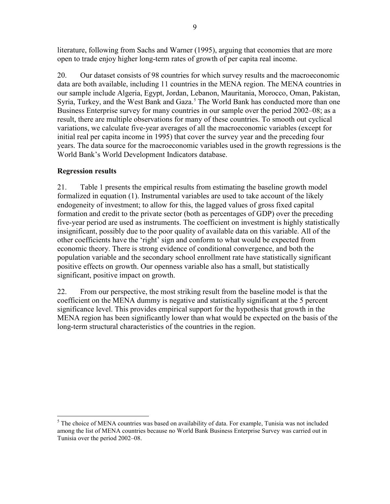literature, following from Sachs and Warner (1995), arguing that economies that are more open to trade enjoy higher long-term rates of growth of per capita real income.

20. Our dataset consists of 98 countries for which survey results and the macroeconomic data are both available, including 11 countries in the MENA region. The MENA countries in our sample include Algeria, Egypt, Jordan, Lebanon, Mauritania, Morocco, Oman, Pakistan, Syria, Turkey, and the West Bank and Gaza.<sup>[5](#page-9-0)</sup> The World Bank has conducted more than one Business Enterprise survey for many countries in our sample over the period 2002–08; as a result, there are multiple observations for many of these countries. To smooth out cyclical variations, we calculate five-year averages of all the macroeconomic variables (except for initial real per capita income in 1995) that cover the survey year and the preceding four years. The data source for the macroeconomic variables used in the growth regressions is the World Bank's World Development Indicators database.

# **Regression results**

21. Table 1 presents the empirical results from estimating the baseline growth model formalized in equation (1). Instrumental variables are used to take account of the likely endogeneity of investment; to allow for this, the lagged values of gross fixed capital formation and credit to the private sector (both as percentages of GDP) over the preceding five-year period are used as instruments. The coefficient on investment is highly statistically insignificant, possibly due to the poor quality of available data on this variable. All of the other coefficients have the 'right' sign and conform to what would be expected from economic theory. There is strong evidence of conditional convergence, and both the population variable and the secondary school enrollment rate have statistically significant positive effects on growth. Our openness variable also has a small, but statistically significant, positive impact on growth.

22. From our perspective, the most striking result from the baseline model is that the coefficient on the MENA dummy is negative and statistically significant at the 5 percent significance level. This provides empirical support for the hypothesis that growth in the MENA region has been significantly lower than what would be expected on the basis of the long-term structural characteristics of the countries in the region.

<span id="page-9-0"></span> $\overline{a}$  $<sup>5</sup>$  The choice of MENA countries was based on availability of data. For example, Tunisia was not included</sup> among the list of MENA countries because no World Bank Business Enterprise Survey was carried out in Tunisia over the period 2002–08.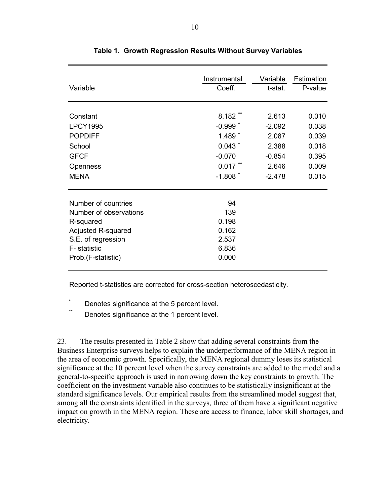| Variable                                                                                                                                     | Instrumental                                           | Variable | Estimation |
|----------------------------------------------------------------------------------------------------------------------------------------------|--------------------------------------------------------|----------|------------|
|                                                                                                                                              | Coeff.                                                 | t-stat.  | P-value    |
| Constant                                                                                                                                     | $8.182**$                                              | 2.613    | 0.010      |
| <b>LPCY1995</b>                                                                                                                              | $-0.999$ $*$                                           | $-2.092$ | 0.038      |
| <b>POPDIFF</b>                                                                                                                               | $1.489*$                                               | 2.087    | 0.039      |
| School                                                                                                                                       | 0.043                                                  | 2.388    | 0.018      |
| <b>GFCF</b>                                                                                                                                  | $-0.070$                                               | $-0.854$ | 0.395      |
| Openness                                                                                                                                     | $0.017$ **                                             | 2.646    | 0.009      |
| <b>MENA</b>                                                                                                                                  | $-1.808$ $*$                                           | $-2.478$ | 0.015      |
| Number of countries<br>Number of observations<br>R-squared<br>Adjusted R-squared<br>S.E. of regression<br>F- statistic<br>Prob.(F-statistic) | 94<br>139<br>0.198<br>0.162<br>2.537<br>6.836<br>0.000 |          |            |

**Table 1. Growth Regression Results Without Survey Variables**

Reported t-statistics are corrected for cross-section heteroscedasticity.

\* Denotes significance at the 5 percent level.

Denotes significance at the 1 percent level.

23. The results presented in Table 2 show that adding several constraints from the Business Enterprise surveys helps to explain the underperformance of the MENA region in the area of economic growth. Specifically, the MENA regional dummy loses its statistical significance at the 10 percent level when the survey constraints are added to the model and a general-to-specific approach is used in narrowing down the key constraints to growth. The coefficient on the investment variable also continues to be statistically insignificant at the standard significance levels. Our empirical results from the streamlined model suggest that, among all the constraints identified in the surveys, three of them have a significant negative impact on growth in the MENA region. These are access to finance, labor skill shortages, and electricity.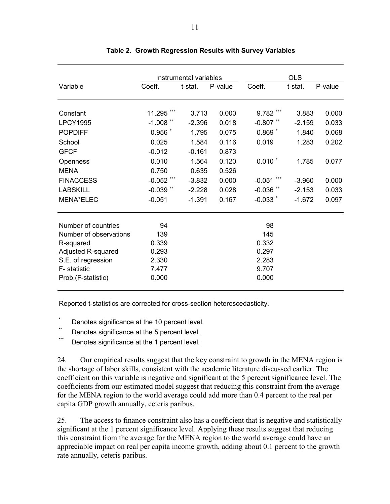|                         |              | Instrumental variables |         | <b>OLS</b>         |          |         |
|-------------------------|--------------|------------------------|---------|--------------------|----------|---------|
| Variable                | Coeff.       | t-stat.                | P-value | Coeff.             | t-stat.  | P-value |
| Constant                | 11.295       | 3.713                  | 0.000   | 9.782 ***          | 3.883    | 0.000   |
| <b>LPCY1995</b>         | $-1.008$ **  | $-2.396$               | 0.018   | $-0.807$ **        | $-2.159$ | 0.033   |
| <b>POPDIFF</b>          | $0.956$ $*$  | 1.795                  | 0.075   | $0.869*$           | 1.840    | 0.068   |
| School                  | 0.025        | 1.584                  | 0.116   | 0.019              | 1.283    | 0.202   |
| <b>GFCF</b>             | $-0.012$     | $-0.161$               | 0.873   |                    |          |         |
|                         | 0.010        | 1.564                  | 0.120   | $0.010$ $*$        | 1.785    | 0.077   |
| Openness<br><b>MENA</b> | 0.750        | 0.635                  | 0.526   |                    |          |         |
|                         |              |                        |         |                    |          |         |
| <b>FINACCESS</b>        | $-0.052$ *** | $-3.832$               | 0.000   | $-0.051$           | $-3.960$ | 0.000   |
| <b>LABSKILL</b>         | $-0.039$ **  | $-2.228$               | 0.028   | $-0.036$ **        | $-2.153$ | 0.033   |
| <b>MENA*ELEC</b>        | $-0.051$     | $-1.391$               | 0.167   | $-0.033$ $\degree$ | $-1.672$ | 0.097   |
| Number of countries     | 94           |                        |         | 98                 |          |         |
| Number of observations  | 139          |                        |         | 145                |          |         |
| R-squared               | 0.339        |                        |         | 0.332              |          |         |
| Adjusted R-squared      | 0.293        |                        |         | 0.297              |          |         |
| S.E. of regression      | 2.330        |                        |         | 2.283              |          |         |
| F- statistic            | 7.477        |                        |         | 9.707              |          |         |
| Prob.(F-statistic)      | 0.000        |                        |         | 0.000              |          |         |

# **Table 2. Growth Regression Results with Survey Variables**

Reported t-statistics are corrected for cross-section heteroscedasticity.

- \*  $\sum_{n=1}^{\infty}$  Denotes significance at the 10 percent level.
- \*\* Denotes significance at the 5 percent level.
- Denotes significance at the 1 percent level.

24. Our empirical results suggest that the key constraint to growth in the MENA region is the shortage of labor skills, consistent with the academic literature discussed earlier. The coefficient on this variable is negative and significant at the 5 percent significance level. The coefficients from our estimated model suggest that reducing this constraint from the average for the MENA region to the world average could add more than 0.4 percent to the real per capita GDP growth annually, ceteris paribus.

25. The access to finance constraint also has a coefficient that is negative and statistically significant at the 1 percent significance level. Applying these results suggest that reducing this constraint from the average for the MENA region to the world average could have an appreciable impact on real per capita income growth, adding about 0.1 percent to the growth rate annually, ceteris paribus.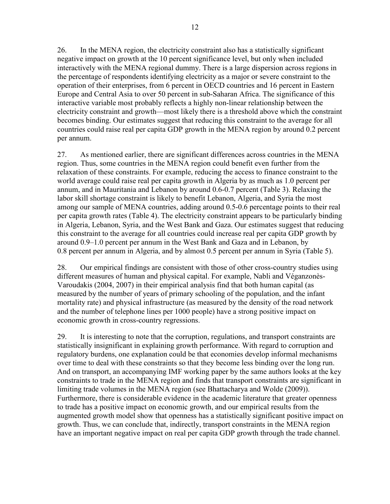26. In the MENA region, the electricity constraint also has a statistically significant negative impact on growth at the 10 percent significance level, but only when included interactively with the MENA regional dummy. There is a large dispersion across regions in the percentage of respondents identifying electricity as a major or severe constraint to the operation of their enterprises, from 6 percent in OECD countries and 16 percent in Eastern Europe and Central Asia to over 50 percent in sub-Saharan Africa. The significance of this

interactive variable most probably reflects a highly non-linear relationship between the electricity constraint and growth—most likely there is a threshold above which the constraint becomes binding. Our estimates suggest that reducing this constraint to the average for all countries could raise real per capita GDP growth in the MENA region by around 0.2 percent per annum.

27. As mentioned earlier, there are significant differences across countries in the MENA region. Thus, some countries in the MENA region could benefit even further from the relaxation of these constraints. For example, reducing the access to finance constraint to the world average could raise real per capita growth in Algeria by as much as 1.0 percent per annum, and in Mauritania and Lebanon by around 0.6-0.7 percent (Table 3). Relaxing the labor skill shortage constraint is likely to benefit Lebanon, Algeria, and Syria the most among our sample of MENA countries, adding around 0.5-0.6 percentage points to their real per capita growth rates (Table 4). The electricity constraint appears to be particularly binding in Algeria, Lebanon, Syria, and the West Bank and Gaza. Our estimates suggest that reducing this constraint to the average for all countries could increase real per capita GDP growth by around 0.9–1.0 percent per annum in the West Bank and Gaza and in Lebanon, by 0.8 percent per annum in Algeria, and by almost 0.5 percent per annum in Syria (Table 5).

28. Our empirical findings are consistent with those of other cross-country studies using different measures of human and physical capital. For example, Nabli and Véganzonès-Varoudakis (2004, 2007) in their empirical analysis find that both human capital (as measured by the number of years of primary schooling of the population, and the infant mortality rate) and physical infrastructure (as measured by the density of the road network and the number of telephone lines per 1000 people) have a strong positive impact on economic growth in cross-country regressions.

29. It is interesting to note that the corruption, regulations, and transport constraints are statistically insignificant in explaining growth performance. With regard to corruption and regulatory burdens, one explanation could be that economies develop informal mechanisms over time to deal with these constraints so that they become less binding over the long run. And on transport, an accompanying IMF working paper by the same authors looks at the key constraints to trade in the MENA region and finds that transport constraints are significant in limiting trade volumes in the MENA region (see Bhattacharya and Wolde (2009)). Furthermore, there is considerable evidence in the academic literature that greater openness to trade has a positive impact on economic growth, and our empirical results from the augmented growth model show that openness has a statistically significant positive impact on growth. Thus, we can conclude that, indirectly, transport constraints in the MENA region have an important negative impact on real per capita GDP growth through the trade channel.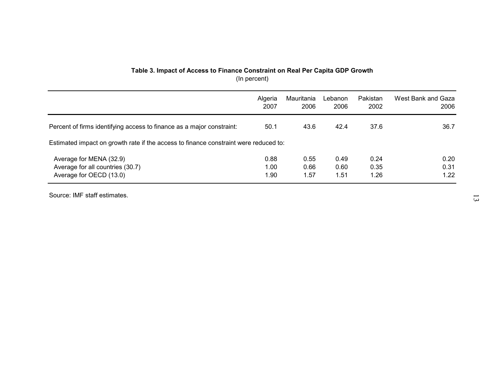# **Table 3. Impact of Access to Finance Constraint on Real Per Capita GDP Growth** (In percent)

|                                                                                      | Algeria | Mauritania | Lebanon | Pakistan | West Bank and Gaza |  |  |
|--------------------------------------------------------------------------------------|---------|------------|---------|----------|--------------------|--|--|
|                                                                                      | 2007    | 2006       | 2006    | 2002     | 2006               |  |  |
| Percent of firms identifying access to finance as a major constraint:                | 50.1    | 43.6       | 42.4    | 37.6     | 36.7               |  |  |
| Estimated impact on growth rate if the access to finance constraint were reduced to: |         |            |         |          |                    |  |  |
| Average for MENA (32.9)                                                              | 0.88    | 0.55       | 0.49    | 0.24     | 0.20               |  |  |
| Average for all countries (30.7)                                                     | 1.00    | 0.66       | 0.60    | 0.35     | 0.31               |  |  |
| Average for OECD (13.0)                                                              | 1.90    | 1.57       | 1.51    | 1.26     | 1.22               |  |  |

Source: IMF staff estimates.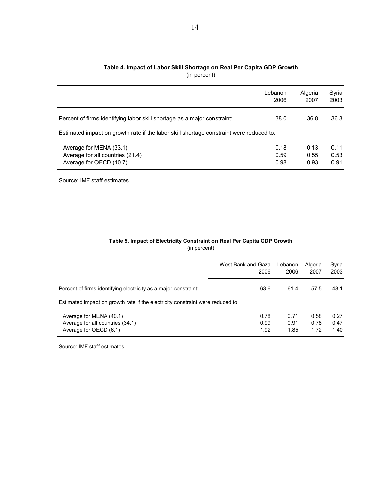|                                                                                         | Lebanon<br>2006 | Algeria<br>2007 | Syria<br>2003 |  |  |  |
|-----------------------------------------------------------------------------------------|-----------------|-----------------|---------------|--|--|--|
| Percent of firms identifying labor skill shortage as a major constraint:                | 38.0            | 36.8            | 36.3          |  |  |  |
| Estimated impact on growth rate if the labor skill shortage constraint were reduced to: |                 |                 |               |  |  |  |
| Average for MENA (33.1)<br>Average for all countries (21.4)                             | 0.18<br>0.59    | 0.13<br>0.55    | 0.11<br>0.53  |  |  |  |
| Average for OECD (10.7)                                                                 | 0.98            | 0.93            | 0.91          |  |  |  |

#### **Table 4. Impact of Labor Skill Shortage on Real Per Capita GDP Growth** (in percent)

Source: IMF staff estimates

#### **Table 5. Impact of Electricity Constraint on Real Per Capita GDP Growth** (in percent)

|                                                                                       | West Bank and Gaza<br>2006 | Lebanon<br>2006      | Algeria<br>2007      | Syria<br>2003        |
|---------------------------------------------------------------------------------------|----------------------------|----------------------|----------------------|----------------------|
| Percent of firms identifying electricity as a major constraint:                       | 63.6                       | 61.4                 | 57.5                 | 48.1                 |
| Estimated impact on growth rate if the electricity constraint were reduced to:        |                            |                      |                      |                      |
| Average for MENA (40.1)<br>Average for all countries (34.1)<br>Average for OECD (6.1) | 0.78<br>0.99<br>1.92       | 0.71<br>0.91<br>1.85 | 0.58<br>0.78<br>1.72 | 0.27<br>0.47<br>1.40 |

Source: IMF staff estimates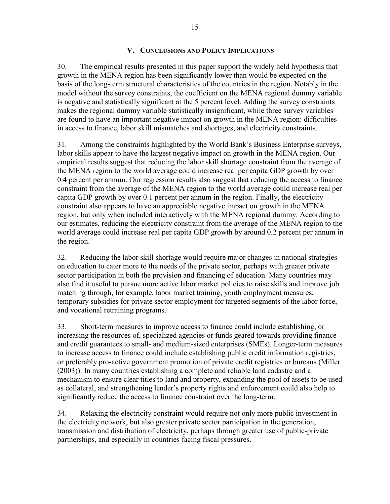# **V. CONCLUSIONS AND POLICY IMPLICATIONS**

<span id="page-15-0"></span>30. The empirical results presented in this paper support the widely held hypothesis that growth in the MENA region has been significantly lower than would be expected on the basis of the long-term structural characteristics of the countries in the region. Notably in the model without the survey constraints, the coefficient on the MENA regional dummy variable is negative and statistically significant at the 5 percent level. Adding the survey constraints makes the regional dummy variable statistically insignificant, while three survey variables are found to have an important negative impact on growth in the MENA region: difficulties in access to finance, labor skill mismatches and shortages, and electricity constraints.

31. Among the constraints highlighted by the World Bank's Business Enterprise surveys, labor skills appear to have the largest negative impact on growth in the MENA region. Our empirical results suggest that reducing the labor skill shortage constraint from the average of the MENA region to the world average could increase real per capita GDP growth by over 0.4 percent per annum. Our regression results also suggest that reducing the access to finance constraint from the average of the MENA region to the world average could increase real per capita GDP growth by over 0.1 percent per annum in the region. Finally, the electricity constraint also appears to have an appreciable negative impact on growth in the MENA region, but only when included interactively with the MENA regional dummy. According to our estimates, reducing the electricity constraint from the average of the MENA region to the world average could increase real per capita GDP growth by around 0.2 percent per annum in the region.

32. Reducing the labor skill shortage would require major changes in national strategies on education to cater more to the needs of the private sector, perhaps with greater private sector participation in both the provision and financing of education. Many countries may also find it useful to pursue more active labor market policies to raise skills and improve job matching through, for example, labor market training, youth employment measures, temporary subsidies for private sector employment for targeted segments of the labor force, and vocational retraining programs.

33. Short-term measures to improve access to finance could include establishing, or increasing the resources of, specialized agencies or funds geared towards providing finance and credit guarantees to small- and medium-sized enterprises (SMEs). Longer-term measures to increase access to finance could include establishing public credit information registries, or preferably pro-active government promotion of private credit registries or bureaus (Miller (2003)). In many countries establishing a complete and reliable land cadastre and a mechanism to ensure clear titles to land and property, expanding the pool of assets to be used as collateral, and strengthening lender's property rights and enforcement could also help to significantly reduce the access to finance constraint over the long-term.

34. Relaxing the electricity constraint would require not only more public investment in the electricity network, but also greater private sector participation in the generation, transmission and distribution of electricity, perhaps through greater use of public-private partnerships, and especially in countries facing fiscal pressures.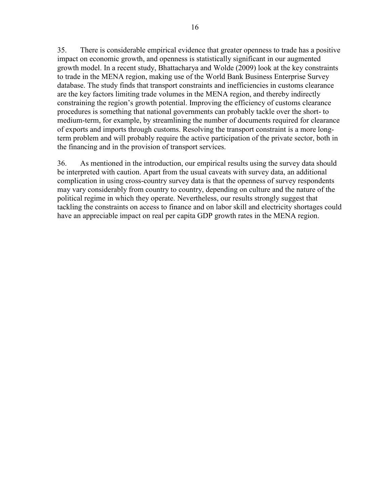35. There is considerable empirical evidence that greater openness to trade has a positive impact on economic growth, and openness is statistically significant in our augmented growth model. In a recent study, Bhattacharya and Wolde (2009) look at the key constraints to trade in the MENA region, making use of the World Bank Business Enterprise Survey database. The study finds that transport constraints and inefficiencies in customs clearance are the key factors limiting trade volumes in the MENA region, and thereby indirectly constraining the region's growth potential. Improving the efficiency of customs clearance procedures is something that national governments can probably tackle over the short- to medium-term, for example, by streamlining the number of documents required for clearance of exports and imports through customs. Resolving the transport constraint is a more longterm problem and will probably require the active participation of the private sector, both in the financing and in the provision of transport services.

36. As mentioned in the introduction, our empirical results using the survey data should be interpreted with caution. Apart from the usual caveats with survey data, an additional complication in using cross-country survey data is that the openness of survey respondents may vary considerably from country to country, depending on culture and the nature of the political regime in which they operate. Nevertheless, our results strongly suggest that tackling the constraints on access to finance and on labor skill and electricity shortages could have an appreciable impact on real per capita GDP growth rates in the MENA region.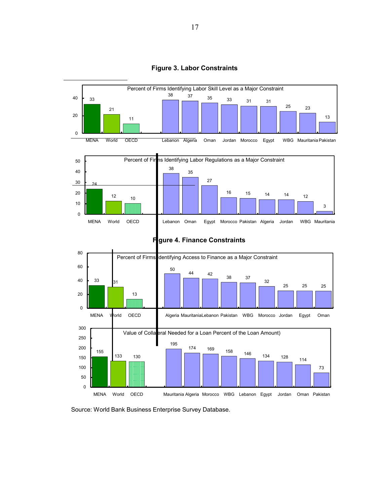

**Figure 3. Labor Constraints** 





Source: World Bank Business Enterprise Survey Database.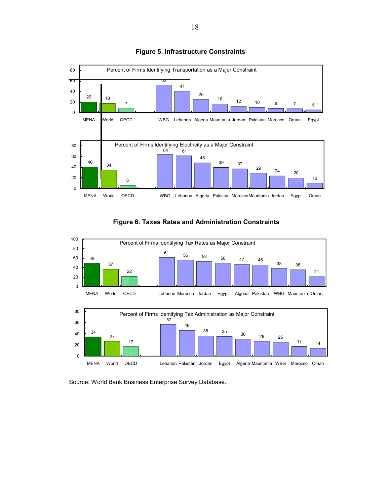

#### **Figure 5. Infrastructure Constraints**





Source: World Bank Business Enterprise Survey Database.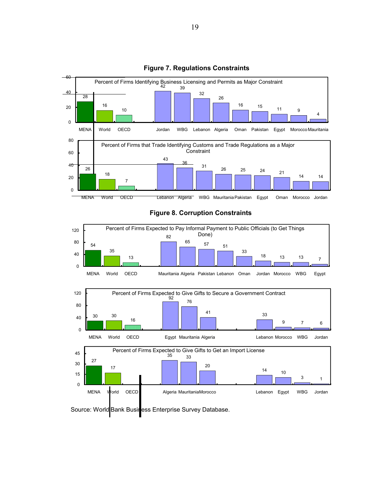

#### **Figure 7. Regulations Constraints**

#### **Figure 8. Corruption Constraints**



Source: World Bank Business Enterprise Survey Database.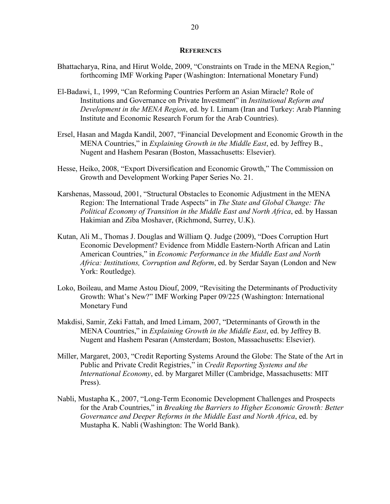#### **REFERENCES**

- Bhattacharya, Rina, and Hirut Wolde, 2009, "Constraints on Trade in the MENA Region," forthcoming IMF Working Paper (Washington: International Monetary Fund)
- El-Badawi, I., 1999, "Can Reforming Countries Perform an Asian Miracle? Role of Institutions and Governance on Private Investment" in *Institutional Reform and Development in the MENA Region*, ed. by I. Limam (Iran and Turkey: Arab Planning Institute and Economic Research Forum for the Arab Countries).
- Ersel, Hasan and Magda Kandil, 2007, "Financial Development and Economic Growth in the MENA Countries," in *Explaining Growth in the Middle East*, ed. by Jeffrey B., Nugent and Hashem Pesaran (Boston, Massachusetts: Elsevier).
- Hesse, Heiko, 2008, "Export Diversification and Economic Growth," The Commission on Growth and Development Working Paper Series No. 21.
- Karshenas, Massoud, 2001, "Structural Obstacles to Economic Adjustment in the MENA Region: The International Trade Aspects" in *The State and Global Change: The Political Economy of Transition in the Middle East and North Africa*, ed. by Hassan Hakimian and Ziba Moshaver, (Richmond, Surrey, U.K).
- Kutan, Ali M., Thomas J. Douglas and William Q. Judge (2009), "Does Corruption Hurt Economic Development? Evidence from Middle Eastern-North African and Latin American Countries," in *Economic Performance in the Middle East and North Africa: Institutions, Corruption and Reform*, ed. by Serdar Sayan (London and New York: Routledge).
- Loko, Boileau, and Mame Astou Diouf, 2009, "Revisiting the Determinants of Productivity Growth: What's New?" IMF Working Paper 09/225 (Washington: International Monetary Fund
- Makdisi, Samir, Zeki Fattah, and Imed Limam, 2007, "Determinants of Growth in the MENA Countries," in *Explaining Growth in the Middle East*, ed. by Jeffrey B. Nugent and Hashem Pesaran (Amsterdam; Boston, Massachusetts: Elsevier).
- Miller, Margaret, 2003, "Credit Reporting Systems Around the Globe: The State of the Art in Public and Private Credit Registries," in *Credit Reporting Systems and the International Economy*, ed. by Margaret Miller (Cambridge, Massachusetts: MIT Press).
- Nabli, Mustapha K., 2007, "Long-Term Economic Development Challenges and Prospects for the Arab Countries," in *Breaking the Barriers to Higher Economic Growth: Better Governance and Deeper Reforms in the Middle East and North Africa*, ed. by Mustapha K. Nabli (Washington: The World Bank).